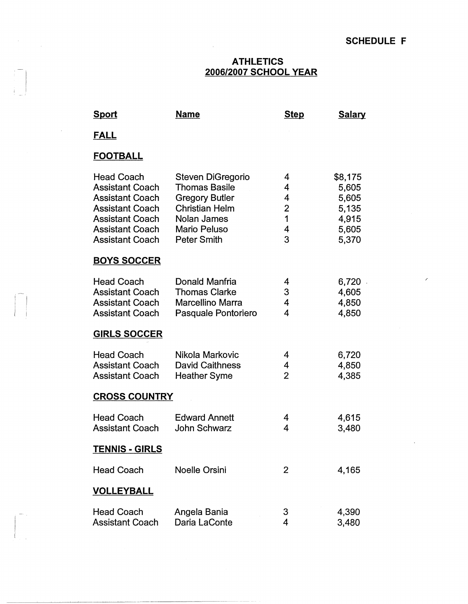$\overline{\mathcal{E}}$ 

 $\hat{\mathbf{r}}$ 

## **ATHLETICS 2006/2007 SCHOOL YEAR**

 $\sim$ 

| <u>Sport</u>                                                                                                                                                                  | <u>Name</u>                                                                                                                               | <b>Step</b>                                  | <b>Salary</b>                                                 |  |
|-------------------------------------------------------------------------------------------------------------------------------------------------------------------------------|-------------------------------------------------------------------------------------------------------------------------------------------|----------------------------------------------|---------------------------------------------------------------|--|
| <b>FALL</b>                                                                                                                                                                   |                                                                                                                                           |                                              |                                                               |  |
| <b>FOOTBALL</b>                                                                                                                                                               |                                                                                                                                           |                                              |                                                               |  |
| <b>Head Coach</b><br><b>Assistant Coach</b><br><b>Assistant Coach</b><br><b>Assistant Coach</b><br><b>Assistant Coach</b><br><b>Assistant Coach</b><br><b>Assistant Coach</b> | Steven DiGregorio<br><b>Thomas Basile</b><br><b>Gregory Butler</b><br><b>Christian Helm</b><br>Nolan James<br>Mario Peluso<br>Peter Smith | 4<br>4<br>4<br>$\overline{2}$<br>1<br>4<br>3 | \$8,175<br>5,605<br>5,605<br>5,135<br>4,915<br>5,605<br>5,370 |  |
| <b>BOYS SOCCER</b>                                                                                                                                                            |                                                                                                                                           |                                              |                                                               |  |
| <b>Head Coach</b><br><b>Assistant Coach</b><br><b>Assistant Coach</b><br><b>Assistant Coach</b>                                                                               | Donald Manfria<br><b>Thomas Clarke</b><br>Marcellino Marra<br>Pasquale Pontoriero                                                         | 4<br>3<br>4<br>4                             | 6,720<br>4,605<br>4,850<br>4,850                              |  |
| <b>GIRLS SOCCER</b>                                                                                                                                                           |                                                                                                                                           |                                              |                                                               |  |
| <b>Head Coach</b><br><b>Assistant Coach</b><br><b>Assistant Coach</b>                                                                                                         | Nikola Markovic<br><b>David Caithness</b><br><b>Heather Syme</b>                                                                          | 4<br>4<br>$\overline{2}$                     | 6,720<br>4,850<br>4,385                                       |  |
| <b>CROSS COUNTRY</b>                                                                                                                                                          |                                                                                                                                           |                                              |                                                               |  |
| <b>Head Coach</b><br><b>Assistant Coach</b>                                                                                                                                   | <b>Edward Annett</b><br>John Schwarz                                                                                                      | 4<br>4                                       | 4,615<br>3,480                                                |  |
| <u>TENNIS - GIRLS</u>                                                                                                                                                         |                                                                                                                                           |                                              |                                                               |  |
| <b>Head Coach</b>                                                                                                                                                             | <b>Noelle Orsini</b>                                                                                                                      | $\overline{2}$                               | 4,165                                                         |  |
| <b>VOLLEYBALL</b>                                                                                                                                                             |                                                                                                                                           |                                              |                                                               |  |
| <b>Head Coach</b><br><b>Assistant Coach</b>                                                                                                                                   | Angela Bania<br>Daria LaConte                                                                                                             | 3<br>4                                       | 4,390<br>3,480                                                |  |

I

 $\sim 10^6$